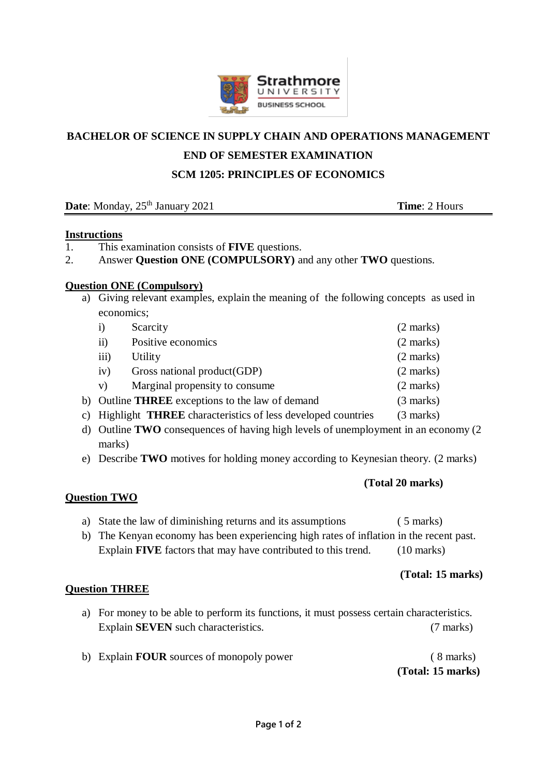

### **BACHELOR OF SCIENCE IN SUPPLY CHAIN AND OPERATIONS MANAGEMENT**

### **END OF SEMESTER EXAMINATION**

#### **SCM 1205: PRINCIPLES OF ECONOMICS**

**Date**: Monday, 25<sup>th</sup> January 2021 **Time**: 2 Hours

#### **Instructions**

- 1. This examination consists of **FIVE** questions.
- 2. Answer **Question ONE (COMPULSORY)** and any other **TWO** questions.

#### **Question ONE (Compulsory)**

a) Giving relevant examples, explain the meaning of the following concepts as used in economics;

| 1)                                                                     | Scarcity                                                              | $(2 \text{ marks})$ |
|------------------------------------------------------------------------|-----------------------------------------------------------------------|---------------------|
| $\overline{11}$                                                        | Positive economics                                                    | $(2 \text{ marks})$ |
| $\overline{111}$                                                       | Utility                                                               | $(2 \text{ marks})$ |
| iv)                                                                    | Gross national product(GDP)                                           | $(2 \text{ marks})$ |
| V)                                                                     | Marginal propensity to consume.                                       | $(2 \text{ marks})$ |
| b) Outline <b>THREE</b> exceptions to the law of demand<br>$(3$ marks) |                                                                       |                     |
|                                                                        | c) Highlight <b>THREE</b> characteristics of less developed countries | $(3 \text{ marks})$ |

- d) Outline **TWO** consequences of having high levels of unemployment in an economy (2 marks)
- e) Describe **TWO** motives for holding money according to Keynesian theory. (2 marks)

#### **(Total 20 marks)**

### **Question TWO**

- a) State the law of diminishing returns and its assumptions ( 5 marks)
- b) The Kenyan economy has been experiencing high rates of inflation in the recent past. Explain **FIVE** factors that may have contributed to this trend. (10 marks)

#### **(Total: 15 marks)**

### **Question THREE**

- a) For money to be able to perform its functions, it must possess certain characteristics. Explain **SEVEN** such characteristics. (7 marks)
- b) Explain **FOUR** sources of monopoly power ( 8 marks) **(Total: 15 marks)**